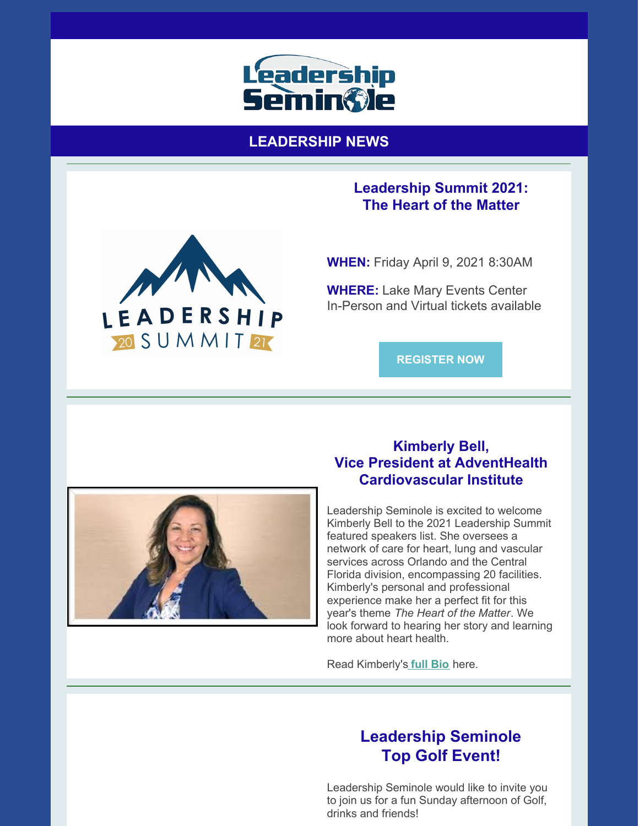

**LEADERSHIP NEWS**

### **Leadership Summit 2021: The Heart of the Matter**



**WHEN:** Friday April 9, 2021 8:30AM

**WHERE:** Lake Mary Events Center In-Person and Virtual tickets available

**[REGISTER](https://leadershipseminole.org/event/summit/) NOW**



## **Kimberly Bell, Vice President at AdventHealth Cardiovascular Institute**

Leadership Seminole is excited to welcome Kimberly Bell to the 2021 Leadership Summit featured speakers list. She oversees a network of care for heart, lung and vascular services across Orlando and the Central Florida division, encompassing 20 facilities. Kimberly's personal and professional experience make her a perfect fit for this year's theme *The Heart of the Matter*. We look forward to hearing her story and learning more about heart health.

Read Kimberly's **full [Bio](https://files.constantcontact.com/206c3f27be/cbeb80e7-70b1-42b8-ba63-4206a4a64143.pdf)** here.

# **Leadership Seminole Top Golf Event!**

Leadership Seminole would like to invite you to join us for a fun Sunday afternoon of Golf, drinks and friends!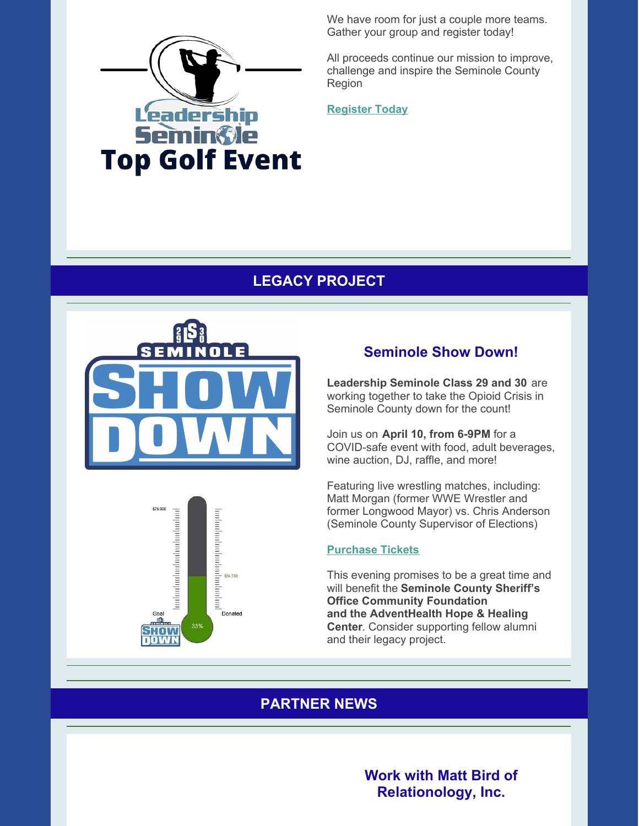

We have room for just a couple more teams. Gather your group and register today!

All proceeds continue our mission to improve, challenge and inspire the Seminole County Region

**[Register](https://leadershipseminole.org/event/top-golf/) Today**

## **LEGACY PROJECT**





## **Seminole Show Down!**

**Leadership Seminole Class 29 and 30** are working together to take the Opioid Crisis in Seminole County down for the count!

Join us on **April 10, from 6-9PM** for a COVID-safe event with food, adult beverages, wine auction, DJ, raffle, and more!

Featuring live wrestling matches, including: Matt Morgan (former WWE Wrestler and former Longwood Mayor) vs. Chris Anderson (Seminole County Supervisor of Elections)

#### **[Purchase](https://www.givesignup.org/TicketEvent/SeminoleShowDown) Tickets**

This evening promises to be a great time and will benefit the **Seminole County Sheriff's Office Community Foundation and the AdventHealth Hope & Healing Center**. Consider supporting fellow alumni and their legacy project.

## **PARTNER NEWS**

**Work with Matt Bird of Relationology, Inc.**